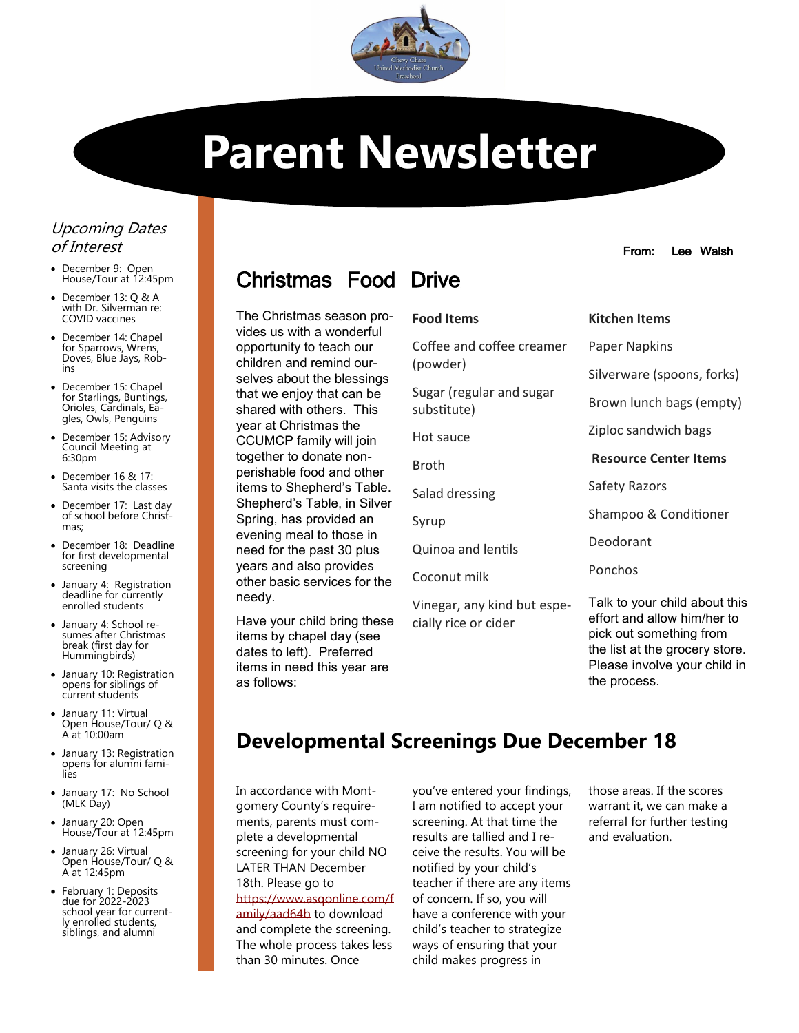

# **Parent Newsletter**

### Upcoming Dates of Interest

- December 9: Open House/Tour at 12:45pm
- December 13: Q & A with Dr. Silverman re: COVID vaccines
- December 14: Chapel for Sparrows, Wrens, Doves, Blue Jays, Robins
- December 15: Chapel for Starlings, Buntings, Orioles, Cardinals, Eagles, Owls, Penguins
- December 15: Advisory Council Meeting at 6:30pm
- December 16 & 17: Santa visits the classes
- December 17: Last day of school before Christmas;
- December 18: Deadline for first developmental screening
- January 4: Registration deadline for currently enrolled students
- January 4: School resumes after Christmas break (first day for Hummingbirds)
- January 10: Registration opens for siblings of current students
- January 11: Virtual Open House/Tour/ Q & A at 10:00am
- January 13: Registration opens for alumni families
- January 17: No School (MLK Day)
- January 20: Open House/Tour at 12:45pm
- January 26: Virtual Open House/Tour/ Q & A at 12:45pm
- February 1: Deposits due for 2022-2023 school year for currently enrolled students, siblings, and alumni

## Christmas Food Drive

The Christmas season provides us with a wonderful opportunity to teach our children and remind ourselves about the blessings that we enjoy that can be shared with others. This year at Christmas the CCUMCP family will join together to donate nonperishable food and other items to Shepherd's Table. Shepherd's Table, in Silver Spring, has provided an evening meal to those in need for the past 30 plus years and also provides other basic services for the needy.

Have your child bring these items by chapel day (see dates to left). Preferred items in need this year are as follows:

#### **Food Items**

Coffee and coffee cream (powder) Sugar (regular and sugar substitute) Hot sauce Broth Salad dressing Syrup Quinoa and lentils Coconut milk Vinegar, any kind but es cially rice or cider

#### From: Lee Walsh

## **Kitchen Items**

| er  | <b>Paper Napkins</b>                                                                                                                                      |  |  |  |
|-----|-----------------------------------------------------------------------------------------------------------------------------------------------------------|--|--|--|
|     | Silverware (spoons, forks)                                                                                                                                |  |  |  |
|     | Brown lunch bags (empty)                                                                                                                                  |  |  |  |
|     | Ziploc sandwich bags                                                                                                                                      |  |  |  |
|     | <b>Resource Center Items</b>                                                                                                                              |  |  |  |
|     | Safety Razors                                                                                                                                             |  |  |  |
|     | Shampoo & Conditioner                                                                                                                                     |  |  |  |
|     | Deodorant                                                                                                                                                 |  |  |  |
|     | Ponchos                                                                                                                                                   |  |  |  |
| pe- | Talk to your child about this<br>effort and allow him/her to<br>pick out something from<br>the list at the grocery store.<br>Please involve your child in |  |  |  |

## **Developmental Screenings Due December 18**

In accordance with Montgomery County's requirements, parents must complete a developmental screening for your child NO LATER THAN December 18th. Please go to [https://www.asqonline.com/f](https://www.asqonline.com/family/aad64b) [amily/aad64b](https://www.asqonline.com/family/aad64b) to download and complete the screening. The whole process takes less than 30 minutes. Once

you've entered your findings, I am notified to accept your screening. At that time the results are tallied and I receive the results. You will be notified by your child's teacher if there are any items of concern. If so, you will have a conference with your child's teacher to strategize ways of ensuring that your child makes progress in

those areas. If the scores warrant it, we can make a referral for further testing and evaluation.

the process.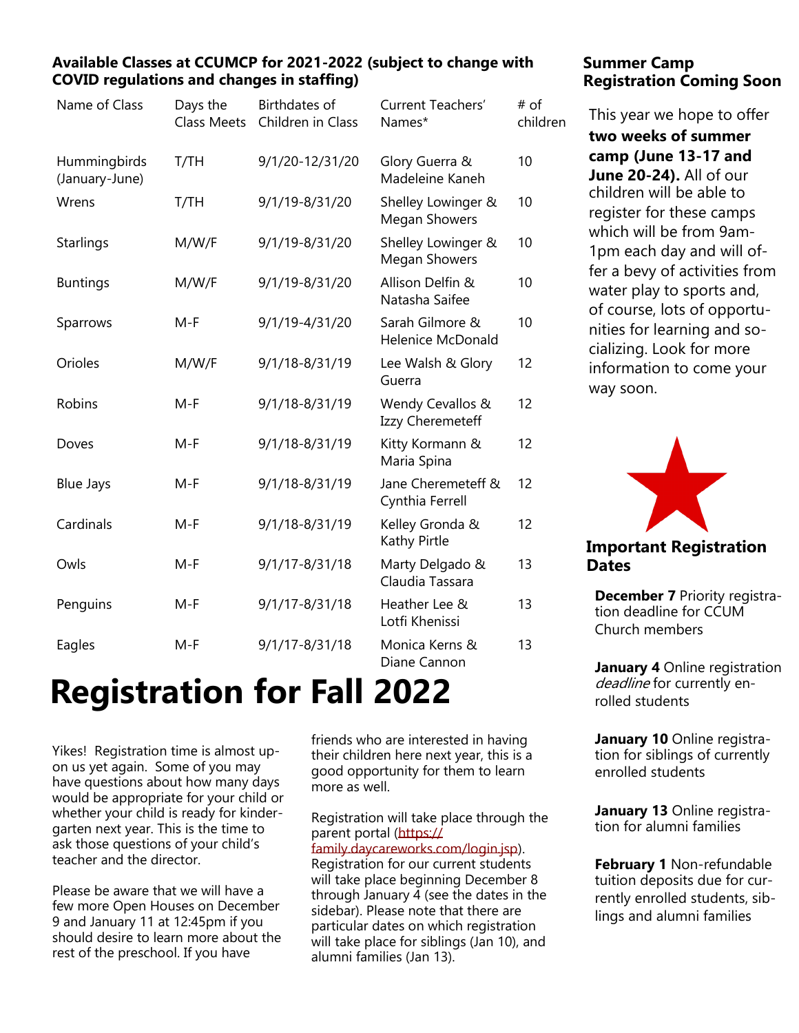#### **Available Classes at CCUMCP for 2021-2022 (subject to change with COVID regulations and changes in staffing)**

| Name of Class                  | Days the<br><b>Class Meets</b> | <b>Birthdates of</b><br>Children in Class | Current Teachers'<br>Names*                 | # of<br>children |
|--------------------------------|--------------------------------|-------------------------------------------|---------------------------------------------|------------------|
| Hummingbirds<br>(January-June) | T/TH                           | 9/1/20-12/31/20                           | Glory Guerra &<br>Madeleine Kaneh           | 10               |
| Wrens                          | T/TH                           | 9/1/19-8/31/20                            | Shelley Lowinger &<br><b>Megan Showers</b>  | 10               |
| <b>Starlings</b>               | M/W/F                          | 9/1/19-8/31/20                            | Shelley Lowinger &<br><b>Megan Showers</b>  | 10               |
| <b>Buntings</b>                | M/W/F                          | 9/1/19-8/31/20                            | Allison Delfin &<br>Natasha Saifee          | 10               |
| Sparrows                       | $M-F$                          | 9/1/19-4/31/20                            | Sarah Gilmore &<br><b>Helenice McDonald</b> | 10               |
| Orioles                        | M/W/F                          | 9/1/18-8/31/19                            | Lee Walsh & Glory<br>Guerra                 | 12               |
| Robins                         | $M-F$                          | 9/1/18-8/31/19                            | Wendy Cevallos &<br>Izzy Cheremeteff        | 12               |
| Doves                          | $M-F$                          | 9/1/18-8/31/19                            | Kitty Kormann &<br>Maria Spina              | 12               |
| <b>Blue Jays</b>               | $M-F$                          | 9/1/18-8/31/19                            | Jane Cheremeteff &<br>Cynthia Ferrell       | 12               |
| Cardinals                      | $M-F$                          | 9/1/18-8/31/19                            | Kelley Gronda &<br>Kathy Pirtle             | 12               |
| Owls                           | $M-F$                          | 9/1/17-8/31/18                            | Marty Delgado &<br>Claudia Tassara          | 13               |
| Penguins                       | $M-F$                          | $9/1/17 - 8/31/18$                        | Heather Lee &<br>Lotfi Khenissi             | 13               |
| Eagles                         | $M-F$                          | $9/1/17 - 8/31/18$                        | Monica Kerns &<br>Diane Cannon              | 13               |

# **Registration for Fall 2022**

Yikes! Registration time is almost upon us yet again. Some of you may have questions about how many days would be appropriate for your child or whether your child is ready for kindergarten next year. This is the time to ask those questions of your child's teacher and the director.

Please be aware that we will have a few more Open Houses on December 9 and January 11 at 12:45pm if you should desire to learn more about the rest of the preschool. If you have

friends who are interested in having their children here next year, this is a good opportunity for them to learn more as well.

Registration will take place through the parent portal [\(https://](https://family.daycareworks.com/login.jsp) [family.daycareworks.com/login.jsp\)](https://family.daycareworks.com/login.jsp). Registration for our current students will take place beginning December 8 through January 4 (see the dates in the sidebar). Please note that there are particular dates on which registration will take place for siblings (Jan 10), and alumni families (Jan 13).

### **Summer Camp Registration Coming Soon**

This year we hope to offer

**two weeks of summer camp (June 13-17 and June 20-24).** All of our children will be able to register for these camps which will be from 9am-1pm each day and will offer a bevy of activities from water play to sports and, of course, lots of opportunities for learning and socializing. Look for more information to come your way soon.



### **Important Registration Dates**

**December 7** Priority registration deadline for CCUM Church members

**January 4** Online registration deadline for currently enrolled students

**January 10** Online registration for siblings of currently enrolled students

**January 13** Online registration for alumni families

**February 1** Non-refundable tuition deposits due for currently enrolled students, siblings and alumni families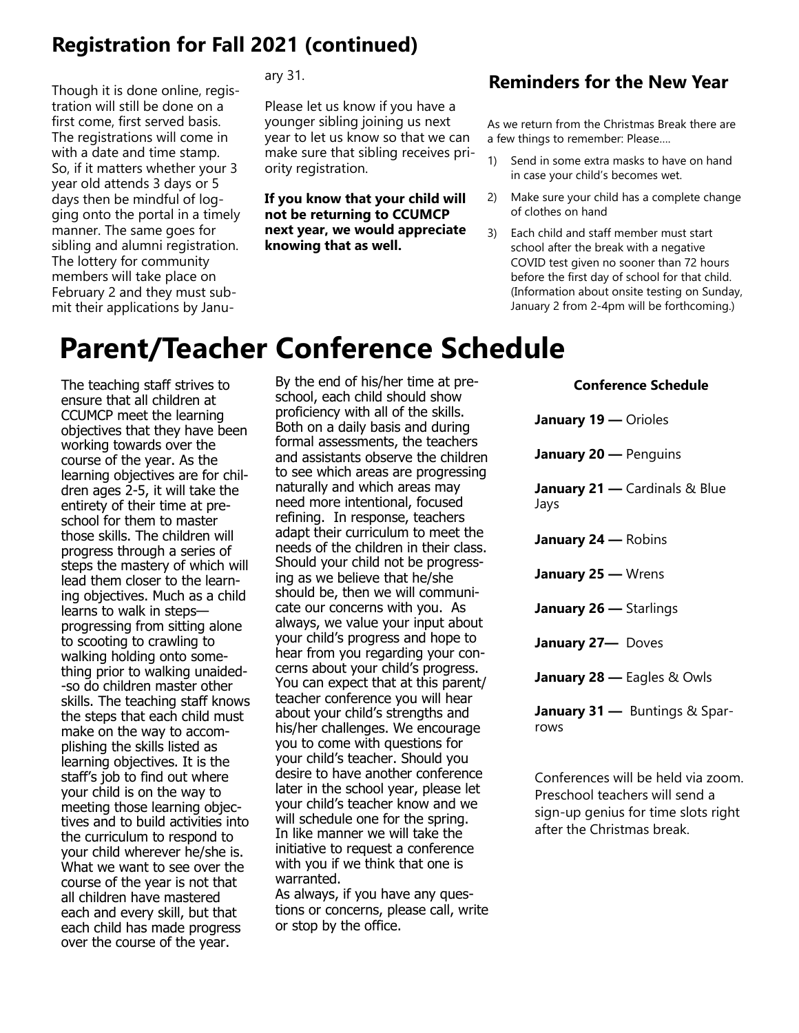## **Registration for Fall 2021 (continued)**

Though it is done online, registration will still be done on a first come, first served basis. The registrations will come in with a date and time stamp. So, if it matters whether your 3 year old attends 3 days or 5 days then be mindful of logging onto the portal in a timely manner. The same goes for sibling and alumni registration. The lottery for community members will take place on February 2 and they must submit their applications by January 31.

Please let us know if you have a younger sibling joining us next year to let us know so that we can make sure that sibling receives priority registration.

**If you know that your child will not be returning to CCUMCP next year, we would appreciate knowing that as well.** 

### **Reminders for the New Year**

As we return from the Christmas Break there are a few things to remember: Please….

- 1) Send in some extra masks to have on hand in case your child's becomes wet.
- 2) Make sure your child has a complete change of clothes on hand
- 3) Each child and staff member must start school after the break with a negative COVID test given no sooner than 72 hours before the first day of school for that child. (Information about onsite testing on Sunday, January 2 from 2-4pm will be forthcoming.)

# **Parent/Teacher Conference Schedule**

The teaching staff strives to ensure that all children at CCUMCP meet the learning objectives that they have been working towards over the course of the year. As the learning objectives are for children ages 2-5, it will take the entirety of their time at preschool for them to master those skills. The children will progress through a series of steps the mastery of which will lead them closer to the learning objectives. Much as a child learns to walk in steps progressing from sitting alone to scooting to crawling to walking holding onto something prior to walking unaided- -so do children master other skills. The teaching staff knows the steps that each child must make on the way to accomplishing the skills listed as learning objectives. It is the staff's job to find out where your child is on the way to meeting those learning objectives and to build activities into the curriculum to respond to your child wherever he/she is. What we want to see over the course of the year is not that all children have mastered each and every skill, but that each child has made progress over the course of the year.

By the end of his/her time at preschool, each child should show proficiency with all of the skills. Both on a daily basis and during formal assessments, the teachers and assistants observe the children to see which areas are progressing naturally and which areas may need more intentional, focused refining. In response, teachers adapt their curriculum to meet the needs of the children in their class. Should your child not be progressing as we believe that he/she should be, then we will communicate our concerns with you. As always, we value your input about your child's progress and hope to hear from you regarding your concerns about your child's progress. You can expect that at this parent/ teacher conference you will hear about your child's strengths and his/her challenges. We encourage you to come with questions for your child's teacher. Should you desire to have another conference later in the school year, please let your child's teacher know and we will schedule one for the spring. In like manner we will take the initiative to request a conference with you if we think that one is warranted. As always, if you have any ques-

tions or concerns, please call, write

or stop by the office.

**Conference Schedule January 19 —** Orioles **January 20 —** Penguins **January 21 —** Cardinals & Blue Jays **January 24 —** Robins **January 25 —** Wrens **January 26 —** Starlings **January 27—** Doves **January 28 —** Eagles & Owls **January 31 —** Buntings & Sparrows

Conferences will be held via zoom. Preschool teachers will send a sign-up genius for time slots right after the Christmas break.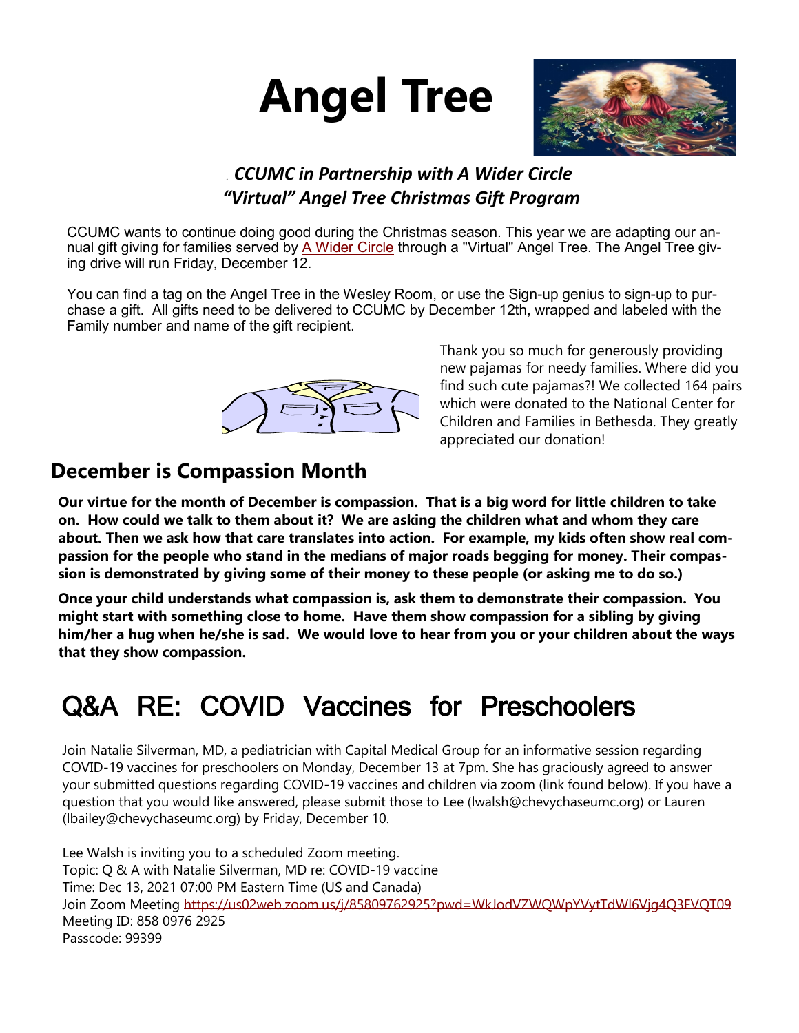



## . *CCUMC in Partnership with A Wider Circle "Virtual" Angel Tree Christmas Gift Program*

CCUMC wants to continue doing good during the Christmas season. This year we are adapting our an-nual gift giving for families served by [A Wider Circle](http://awidercircle.org/) through a "Virtual" Angel Tree. The Angel Tree giving drive will run Friday, December 12.

You can find a tag on the Angel Tree in the Wesley Room, or use the Sign-up genius to sign-up to purchase a gift. All gifts need to be delivered to CCUMC by December 12th, wrapped and labeled with the Family number and name of the gift recipient.



Thank you so much for generously providing new pajamas for needy families. Where did you find such cute pajamas?! We collected 164 pairs which were donated to the National Center for Children and Families in Bethesda. They greatly appreciated our donation!

## **December is Compassion Month**

**Our virtue for the month of December is compassion. That is a big word for little children to take on. How could we talk to them about it? We are asking the children what and whom they care about. Then we ask how that care translates into action. For example, my kids often show real compassion for the people who stand in the medians of major roads begging for money. Their compassion is demonstrated by giving some of their money to these people (or asking me to do so.)** 

**Once your child understands what compassion is, ask them to demonstrate their compassion. You might start with something close to home. Have them show compassion for a sibling by giving him/her a hug when he/she is sad. We would love to hear from you or your children about the ways that they show compassion.** 

# Q&A RE: COVID Vaccines for Preschoolers

Join Natalie Silverman, MD, a pediatrician with Capital Medical Group for an informative session regarding COVID-19 vaccines for preschoolers on Monday, December 13 at 7pm. She has graciously agreed to answer your submitted questions regarding COVID-19 vaccines and children via zoom (link found below). If you have a question that you would like answered, please submit those to Lee (lwalsh@chevychaseumc.org) or Lauren (lbailey@chevychaseumc.org) by Friday, December 10.

Lee Walsh is inviting you to a scheduled Zoom meeting. Topic: Q & A with Natalie Silverman, MD re: COVID-19 vaccine Time: Dec 13, 2021 07:00 PM Eastern Time (US and Canada) Join Zoom Meeting <https://us02web.zoom.us/j/85809762925?pwd=WkJodVZWQWpYVytTdWl6Vjg4Q3FVQT09> Meeting ID: 858 0976 2925 Passcode: 99399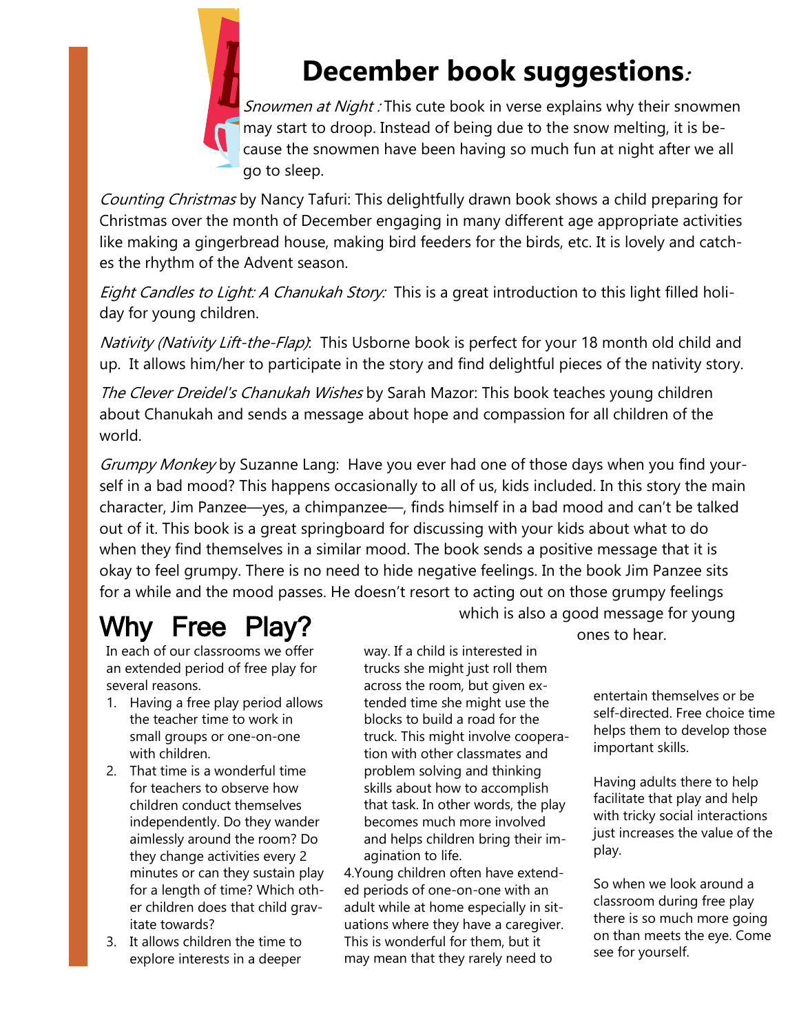

# **December book suggestions:**

Snowmen at Night : This cute book in verse explains why their snowmen may start to droop. Instead of being due to the snow melting, it is because the snowmen have been having so much fun at night after we all go to sleep.

Counting Christmas by Nancy Tafuri: This delightfully drawn book shows a child preparing for Christmas over the month of December engaging in many different age appropriate activities like making a gingerbread house, making bird feeders for the birds, etc. It is lovely and catches the rhythm of the Advent season.

Eight Candles to Light: A Chanukah Story: This is a great introduction to this light filled holiday for young children.

[Nativity \(Nativity Lift-the-Flap\)](http://www.amazon.com/Nativity-Lift---Flap-Felicity-Brooks/dp/0794505295/ref=sr_1_27?s=books&ie=UTF8&qid=1290616675&sr=1-27). This Usborne book is perfect for your 18 month old child and up. It allows him/her to participate in the story and find delightful pieces of the nativity story.

The Clever Dreidel's Chanukah Wishes by Sarah Mazor: This book teaches young children about Chanukah and sends a message about hope and compassion for all children of the world.

Grumpy Monkey by Suzanne Lang: Have you ever had one of those days when you find yourself in a bad mood? This happens occasionally to all of us, kids included. In this story the main character, Jim Panzee—yes, a chimpanzee—, finds himself in a bad mood and can't be talked out of it. This book is a great springboard for discussing with your kids about what to do when they find themselves in a similar mood. The book sends a positive message that it is okay to feel grumpy. There is no need to hide negative feelings. In the book Jim Panzee sits for a while and the mood passes. He doesn't resort to acting out on those grumpy feelings

# Why Free Play? which is also a good message for young which is also a good message for young

In each of our classrooms we offer an extended period of free play for several reasons.

- 1. Having a free play period allows the teacher time to work in small groups or one-on-one with children.
- 2. That time is a wonderful time for teachers to observe how children conduct themselves independently. Do they wander aimlessly around the room? Do they change activities every 2 minutes or can they sustain play for a length of time? Which other children does that child gravitate towards?
- 3. It allows children the time to explore interests in a deeper

way. If a child is interested in trucks she might just roll them across the room, but given extended time she might use the blocks to build a road for the truck. This might involve cooperation with other classmates and problem solving and thinking skills about how to accomplish that task. In other words, the play becomes much more involved and helps children bring their imagination to life.

4.Young children often have extended periods of one-on-one with an adult while at home especially in situations where they have a caregiver. This is wonderful for them, but it may mean that they rarely need to

entertain themselves or be self-directed. Free choice time helps them to develop those important skills.

Having adults there to help facilitate that play and help with tricky social interactions just increases the value of the play.

So when we look around a classroom during free play there is so much more going on than meets the eye. Come see for yourself.